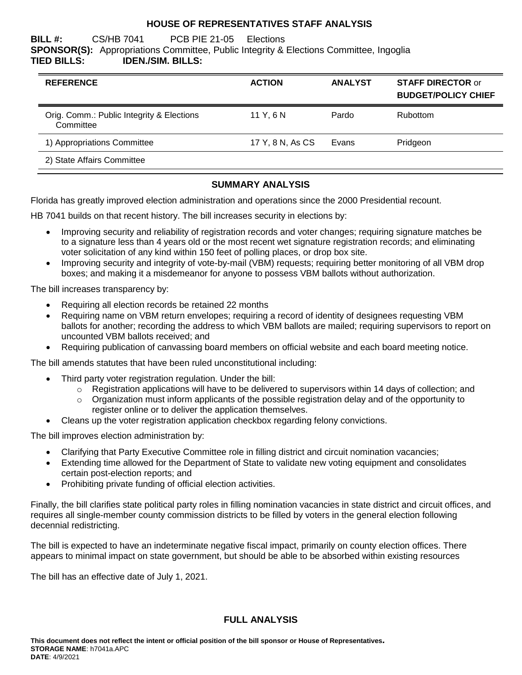# **HOUSE OF REPRESENTATIVES STAFF ANALYSIS**

#### **BILL #:** CS/HB 7041 PCB PIE 21-05 Elections **SPONSOR(S):** Appropriations Committee, Public Integrity & Elections Committee, Ingoglia **TIED BILLS: IDEN./SIM. BILLS:**

| <b>REFERENCE</b>                                       | <b>ACTION</b>    | <b>ANALYST</b> | <b>STAFF DIRECTOR or</b><br><b>BUDGET/POLICY CHIEF</b> |
|--------------------------------------------------------|------------------|----------------|--------------------------------------------------------|
| Orig. Comm.: Public Integrity & Elections<br>Committee | 11Y.6N           | Pardo          | <b>Rubottom</b>                                        |
| 1) Appropriations Committee                            | 17 Y, 8 N, As CS | Evans          | Pridgeon                                               |
| 2) State Affairs Committee                             |                  |                |                                                        |

# **SUMMARY ANALYSIS**

Florida has greatly improved election administration and operations since the 2000 Presidential recount.

HB 7041 builds on that recent history. The bill increases security in elections by:

- Improving security and reliability of registration records and voter changes; requiring signature matches be to a signature less than 4 years old or the most recent wet signature registration records; and eliminating voter solicitation of any kind within 150 feet of polling places, or drop box site.
- Improving security and integrity of vote-by-mail (VBM) requests; requiring better monitoring of all VBM drop boxes; and making it a misdemeanor for anyone to possess VBM ballots without authorization.

The bill increases transparency by:

- Requiring all election records be retained 22 months
- Requiring name on VBM return envelopes; requiring a record of identity of designees requesting VBM ballots for another; recording the address to which VBM ballots are mailed; requiring supervisors to report on uncounted VBM ballots received; and
- Requiring publication of canvassing board members on official website and each board meeting notice.

The bill amends statutes that have been ruled unconstitutional including:

- Third party voter registration regulation. Under the bill:
	- $\circ$  Registration applications will have to be delivered to supervisors within 14 days of collection; and
		- $\circ$  Organization must inform applicants of the possible registration delay and of the opportunity to register online or to deliver the application themselves.
- Cleans up the voter registration application checkbox regarding felony convictions.

The bill improves election administration by:

- Clarifying that Party Executive Committee role in filling district and circuit nomination vacancies;
- Extending time allowed for the Department of State to validate new voting equipment and consolidates certain post-election reports; and
- Prohibiting private funding of official election activities.

Finally, the bill clarifies state political party roles in filling nomination vacancies in state district and circuit offices, and requires all single-member county commission districts to be filled by voters in the general election following decennial redistricting.

The bill is expected to have an indeterminate negative fiscal impact, primarily on county election offices. There appears to minimal impact on state government, but should be able to be absorbed within existing resources

The bill has an effective date of July 1, 2021.

# **FULL ANALYSIS**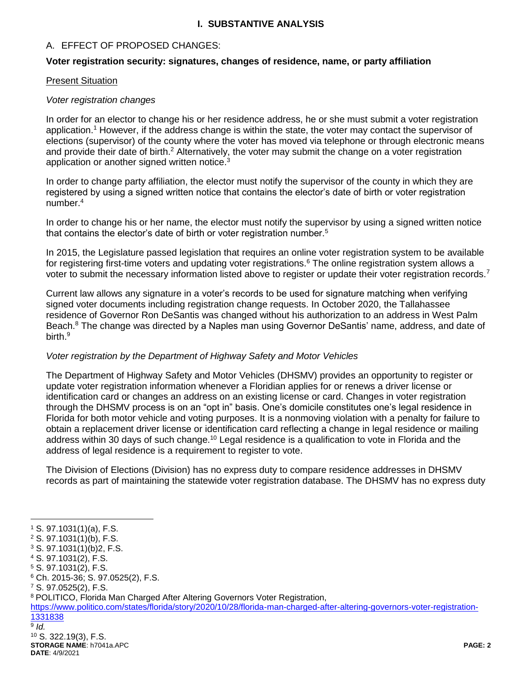# **I. SUBSTANTIVE ANALYSIS**

# A. EFFECT OF PROPOSED CHANGES:

### **Voter registration security: signatures, changes of residence, name, or party affiliation**

### Present Situation

### *Voter registration changes*

In order for an elector to change his or her residence address, he or she must submit a voter registration application.<sup>1</sup> However, if the address change is within the state, the voter may contact the supervisor of elections (supervisor) of the county where the voter has moved via telephone or through electronic means and provide their date of birth.<sup>2</sup> Alternatively, the voter may submit the change on a voter registration application or another signed written notice.<sup>3</sup>

In order to change party affiliation, the elector must notify the supervisor of the county in which they are registered by using a signed written notice that contains the elector's date of birth or voter registration number.<sup>4</sup>

In order to change his or her name, the elector must notify the supervisor by using a signed written notice that contains the elector's date of birth or voter registration number.<sup>5</sup>

In 2015, the Legislature passed legislation that requires an online voter registration system to be available for registering first-time voters and updating voter registrations.<sup>6</sup> The online registration system allows a voter to submit the necessary information listed above to register or update their voter registration records.<sup>7</sup>

Current law allows any signature in a voter's records to be used for signature matching when verifying signed voter documents including registration change requests. In October 2020, the Tallahassee residence of Governor Ron DeSantis was changed without his authorization to an address in West Palm Beach.<sup>8</sup> The change was directed by a Naples man using Governor DeSantis' name, address, and date of birth. 9

# *Voter registration by the Department of Highway Safety and Motor Vehicles*

The Department of Highway Safety and Motor Vehicles (DHSMV) provides an opportunity to register or update voter registration information whenever a Floridian applies for or renews a driver license or identification card or changes an address on an existing license or card. Changes in voter registration through the DHSMV process is on an "opt in" basis. One's domicile constitutes one's legal residence in Florida for both motor vehicle and voting purposes. It is a nonmoving violation with a penalty for failure to obtain a replacement driver license or identification card reflecting a change in legal residence or mailing address within 30 days of such change.<sup>10</sup> Legal residence is a qualification to vote in Florida and the address of legal residence is a requirement to register to vote.

The Division of Elections (Division) has no express duty to compare residence addresses in DHSMV records as part of maintaining the statewide voter registration database. The DHSMV has no express duty

 $\overline{a}$ 

<sup>8</sup> POLITICO, Florida Man Charged After Altering Governors Voter Registration,

[https://www.politico.com/states/florida/story/2020/10/28/florida-man-charged-after-altering-governors-voter-registration-](https://www.politico.com/states/florida/story/2020/10/28/florida-man-charged-after-altering-governors-voter-registration-1331838)[1331838](https://www.politico.com/states/florida/story/2020/10/28/florida-man-charged-after-altering-governors-voter-registration-1331838)

<sup>1</sup> S. 97.1031(1)(a), F.S.

<sup>2</sup> S. 97.1031(1)(b), F.S.

<sup>3</sup> S. 97.1031(1)(b)2, F.S.

<sup>4</sup> S. 97.1031(2), F.S.

<sup>5</sup> S. 97.1031(2), F.S.

<sup>6</sup> Ch. 2015-36; S. 97.0525(2), F.S.

<sup>7</sup> S. 97.0525(2), F.S.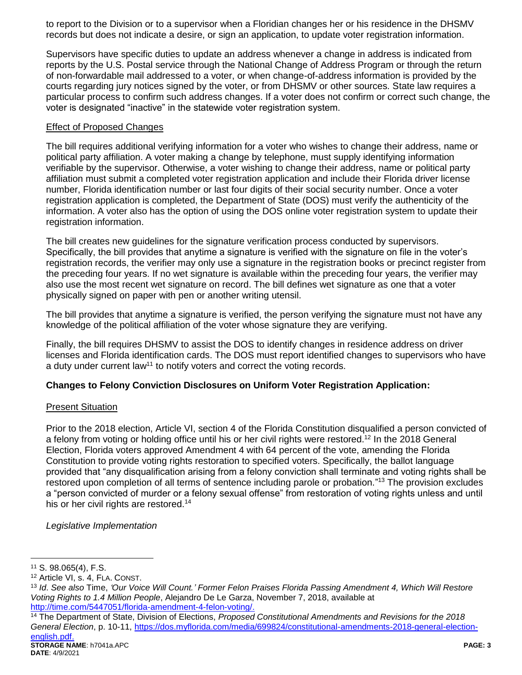to report to the Division or to a supervisor when a Floridian changes her or his residence in the DHSMV records but does not indicate a desire, or sign an application, to update voter registration information.

Supervisors have specific duties to update an address whenever a change in address is indicated from reports by the U.S. Postal service through the National Change of Address Program or through the return of non-forwardable mail addressed to a voter, or when change-of-address information is provided by the courts regarding jury notices signed by the voter, or from DHSMV or other sources. State law requires a particular process to confirm such address changes. If a voter does not confirm or correct such change, the voter is designated "inactive" in the statewide voter registration system.

### Effect of Proposed Changes

The bill requires additional verifying information for a voter who wishes to change their address, name or political party affiliation. A voter making a change by telephone, must supply identifying information verifiable by the supervisor. Otherwise, a voter wishing to change their address, name or political party affiliation must submit a completed voter registration application and include their Florida driver license number, Florida identification number or last four digits of their social security number. Once a voter registration application is completed, the Department of State (DOS) must verify the authenticity of the information. A voter also has the option of using the DOS online voter registration system to update their registration information.

The bill creates new guidelines for the signature verification process conducted by supervisors. Specifically, the bill provides that anytime a signature is verified with the signature on file in the voter's registration records, the verifier may only use a signature in the registration books or precinct register from the preceding four years. If no wet signature is available within the preceding four years, the verifier may also use the most recent wet signature on record. The bill defines wet signature as one that a voter physically signed on paper with pen or another writing utensil.

The bill provides that anytime a signature is verified, the person verifying the signature must not have any knowledge of the political affiliation of the voter whose signature they are verifying.

Finally, the bill requires DHSMV to assist the DOS to identify changes in residence address on driver licenses and Florida identification cards. The DOS must report identified changes to supervisors who have a duty under current  $\text{law}^{11}$  to notify voters and correct the voting records.

# **Changes to Felony Conviction Disclosures on Uniform Voter Registration Application:**

# **Present Situation**

Prior to the 2018 election, Article VI, section 4 of the Florida Constitution disqualified a person convicted of a felony from voting or holding office until his or her civil rights were restored.<sup>12</sup> In the 2018 General Election, Florida voters approved Amendment 4 with 64 percent of the vote, amending the Florida Constitution to provide voting rights restoration to specified voters. Specifically, the ballot language provided that "any disqualification arising from a felony conviction shall terminate and voting rights shall be restored upon completion of all terms of sentence including parole or probation."<sup>13</sup> The provision excludes a "person convicted of murder or a felony sexual offense" from restoration of voting rights unless and until his or her civil rights are restored.<sup>14</sup>

*Legislative Implementation*

<sup>11</sup> S. 98.065(4), F.S.

<sup>12</sup> Article VI, s. 4, FLA. CONST.

<sup>13</sup> *Id*. *See also* Time, *'Our Voice Will Count.' Former Felon Praises Florida Passing Amendment 4, Which Will Restore Voting Rights to 1.4 Million People*, Alejandro De Le Garza, November 7, 2018, available at [http://time.com/5447051/florida-amendment-4-felon-voting/.](http://time.com/5447051/florida-amendment-4-felon-voting/)

**STORAGE NAME**: h7041a.APC **PAGE: 3** <sup>14</sup> The Department of State, Division of Elections, *Proposed Constitutional Amendments and Revisions for the 2018 General Election*, p. 10-11, [https://dos.myflorida.com/media/699824/constitutional-amendments-2018-general-election](https://dos.myflorida.com/media/699824/constitutional-amendments-2018-general-election-english.pdf)[english.pdf.](https://dos.myflorida.com/media/699824/constitutional-amendments-2018-general-election-english.pdf)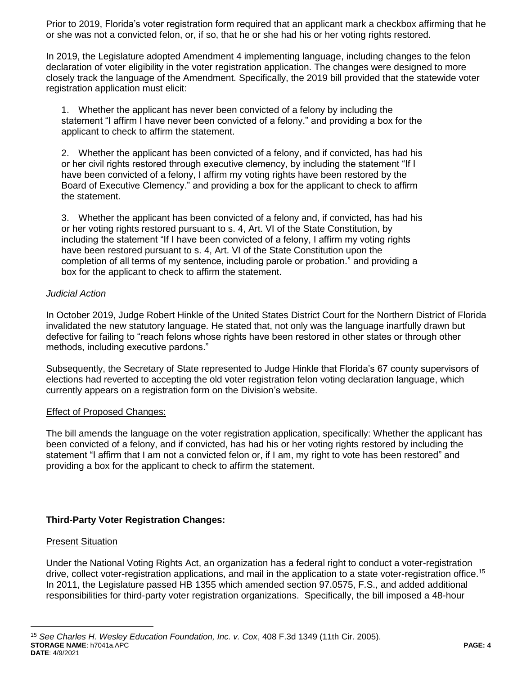Prior to 2019, Florida's voter registration form required that an applicant mark a checkbox affirming that he or she was not a convicted felon, or, if so, that he or she had his or her voting rights restored.

In 2019, the Legislature adopted Amendment 4 implementing language, including changes to the felon declaration of voter eligibility in the voter registration application. The changes were designed to more closely track the language of the Amendment. Specifically, the 2019 bill provided that the statewide voter registration application must elicit:

1. Whether the applicant has never been convicted of a felony by including the statement "I affirm I have never been convicted of a felony." and providing a box for the applicant to check to affirm the statement.

2. Whether the applicant has been convicted of a felony, and if convicted, has had his or her civil rights restored through executive clemency, by including the statement "If I have been convicted of a felony, I affirm my voting rights have been restored by the Board of Executive Clemency." and providing a box for the applicant to check to affirm the statement.

3. Whether the applicant has been convicted of a felony and, if convicted, has had his or her voting rights restored pursuant to s. 4, Art. VI of the State Constitution, by including the statement "If I have been convicted of a felony, I affirm my voting rights have been restored pursuant to s. 4, Art. VI of the State Constitution upon the completion of all terms of my sentence, including parole or probation." and providing a box for the applicant to check to affirm the statement.

# *Judicial Action*

In October 2019, Judge Robert Hinkle of the United States District Court for the Northern District of Florida invalidated the new statutory language. He stated that, not only was the language inartfully drawn but defective for failing to "reach felons whose rights have been restored in other states or through other methods, including executive pardons."

Subsequently, the Secretary of State represented to Judge Hinkle that Florida's 67 county supervisors of elections had reverted to accepting the old voter registration felon voting declaration language, which currently appears on a registration form on the Division's website.

# Effect of Proposed Changes:

The bill amends the language on the voter registration application, specifically: Whether the applicant has been convicted of a felony, and if convicted, has had his or her voting rights restored by including the statement "I affirm that I am not a convicted felon or, if I am, my right to vote has been restored" and providing a box for the applicant to check to affirm the statement.

# **Third-Party Voter Registration Changes:**

# Present Situation

 $\overline{a}$ 

Under the National Voting Rights Act, an organization has a federal right to conduct a voter-registration drive, collect voter-registration applications, and mail in the application to a state voter-registration office.<sup>15</sup> In 2011, the Legislature passed HB 1355 which amended section 97.0575, F.S., and added additional responsibilities for third-party voter registration organizations. Specifically, the bill imposed a 48-hour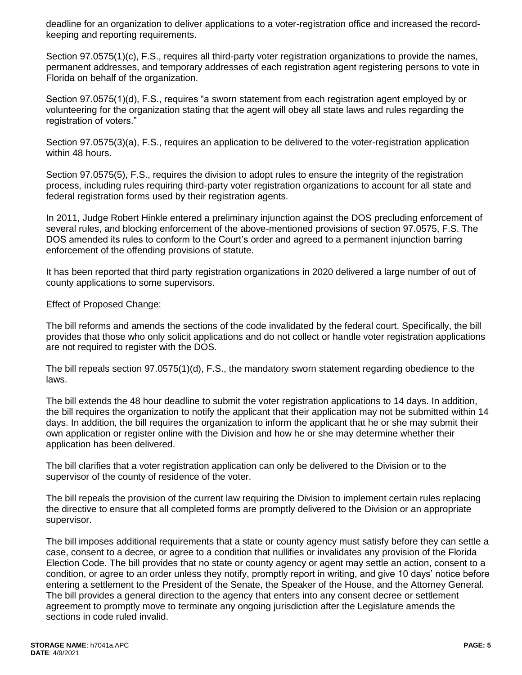deadline for an organization to deliver applications to a voter-registration office and increased the recordkeeping and reporting requirements.

Section 97.0575(1)(c), F.S., requires all third-party voter registration organizations to provide the names, permanent addresses, and temporary addresses of each registration agent registering persons to vote in Florida on behalf of the organization.

Section 97.0575(1)(d), F.S., requires "a sworn statement from each registration agent employed by or volunteering for the organization stating that the agent will obey all state laws and rules regarding the registration of voters."

Section 97.0575(3)(a), F.S., requires an application to be delivered to the voter-registration application within 48 hours.

Section 97.0575(5), F.S., requires the division to adopt rules to ensure the integrity of the registration process, including rules requiring third-party voter registration organizations to account for all state and federal registration forms used by their registration agents.

In 2011, Judge Robert Hinkle entered a preliminary injunction against the DOS precluding enforcement of several rules, and blocking enforcement of the above-mentioned provisions of section 97.0575, F.S. The DOS amended its rules to conform to the Court's order and agreed to a permanent injunction barring enforcement of the offending provisions of statute.

It has been reported that third party registration organizations in 2020 delivered a large number of out of county applications to some supervisors.

#### Effect of Proposed Change:

The bill reforms and amends the sections of the code invalidated by the federal court. Specifically, the bill provides that those who only solicit applications and do not collect or handle voter registration applications are not required to register with the DOS.

The bill repeals section 97.0575(1)(d), F.S., the mandatory sworn statement regarding obedience to the laws.

The bill extends the 48 hour deadline to submit the voter registration applications to 14 days. In addition, the bill requires the organization to notify the applicant that their application may not be submitted within 14 days. In addition, the bill requires the organization to inform the applicant that he or she may submit their own application or register online with the Division and how he or she may determine whether their application has been delivered.

The bill clarifies that a voter registration application can only be delivered to the Division or to the supervisor of the county of residence of the voter.

The bill repeals the provision of the current law requiring the Division to implement certain rules replacing the directive to ensure that all completed forms are promptly delivered to the Division or an appropriate supervisor.

The bill imposes additional requirements that a state or county agency must satisfy before they can settle a case, consent to a decree, or agree to a condition that nullifies or invalidates any provision of the Florida Election Code. The bill provides that no state or county agency or agent may settle an action, consent to a condition, or agree to an order unless they notify, promptly report in writing, and give 10 days' notice before entering a settlement to the President of the Senate, the Speaker of the House, and the Attorney General. The bill provides a general direction to the agency that enters into any consent decree or settlement agreement to promptly move to terminate any ongoing jurisdiction after the Legislature amends the sections in code ruled invalid.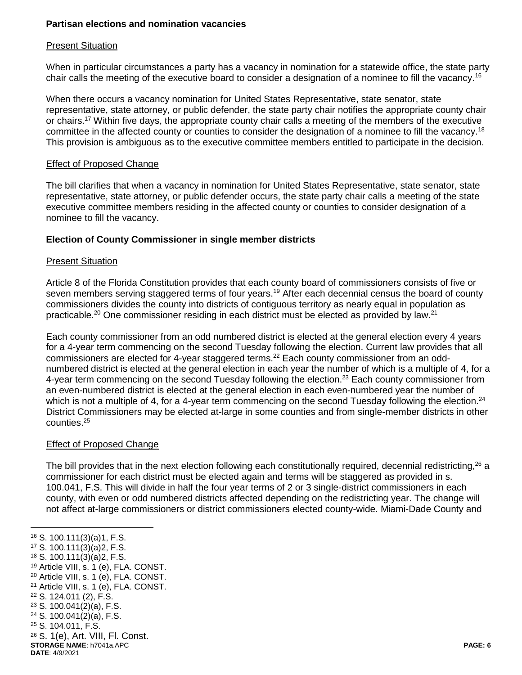# **Partisan elections and nomination vacancies**

### Present Situation

When in particular circumstances a party has a vacancy in nomination for a statewide office, the state party chair calls the meeting of the executive board to consider a designation of a nominee to fill the vacancy.<sup>16</sup>

When there occurs a vacancy nomination for United States Representative, state senator, state representative, state attorney, or public defender, the state party chair notifies the appropriate county chair or chairs.<sup>17</sup> Within five days, the appropriate county chair calls a meeting of the members of the executive committee in the affected county or counties to consider the designation of a nominee to fill the vacancy.<sup>18</sup> This provision is ambiguous as to the executive committee members entitled to participate in the decision.

### Effect of Proposed Change

The bill clarifies that when a vacancy in nomination for United States Representative, state senator, state representative, state attorney, or public defender occurs, the state party chair calls a meeting of the state executive committee members residing in the affected county or counties to consider designation of a nominee to fill the vacancy.

# **Election of County Commissioner in single member districts**

#### Present Situation

Article 8 of the Florida Constitution provides that each county board of commissioners consists of five or seven members serving staggered terms of four years.<sup>19</sup> After each decennial census the board of county commissioners divides the county into districts of contiguous territory as nearly equal in population as practicable.<sup>20</sup> One commissioner residing in each district must be elected as provided by law.<sup>21</sup>

Each county commissioner from an odd numbered district is elected at the general election every 4 years for a 4-year term commencing on the second Tuesday following the election. Current law provides that all commissioners are elected for 4-year staggered terms.<sup>22</sup> Each county commissioner from an oddnumbered district is elected at the general election in each year the number of which is a multiple of 4, for a 4-year term commencing on the second Tuesday following the election.<sup>23</sup> Each county commissioner from an even-numbered district is elected at the general election in each even-numbered year the number of which is not a multiple of 4, for a 4-year term commencing on the second Tuesday following the election.<sup>24</sup> District Commissioners may be elected at-large in some counties and from single-member districts in other counties.<sup>25</sup>

# Effect of Proposed Change

The bill provides that in the next election following each constitutionally required, decennial redistricting,<sup>26</sup> a commissioner for each district must be elected again and terms will be staggered as provided in s. 100.041, F.S. This will divide in half the four year terms of 2 or 3 single-district commissioners in each county, with even or odd numbered districts affected depending on the redistricting year. The change will not affect at-large commissioners or district commissioners elected county-wide. Miami-Dade County and

**STORAGE NAME**: h7041a.APC **PAGE: 6 DATE**: 4/9/2021 <sup>16</sup> S. 100.111(3)(a)1, F.S. <sup>17</sup> S. 100.111(3)(a)2, F.S. <sup>18</sup> S. 100.111(3)(a)2, F.S. <sup>19</sup> Article VIII, s. 1 (e), FLA. CONST. <sup>20</sup> Article VIII, s. 1 (e), FLA. CONST. <sup>21</sup> Article VIII, s. 1 (e), FLA. CONST. <sup>22</sup> S. 124.011 (2), F.S.  $23$  S. 100.041(2)(a), F.S.  $24$  S. 100.041(2)(a), F.S. <sup>25</sup> S. 104.011, F.S. <sup>26</sup> S. 1(e), Art. VIII, Fl. Const.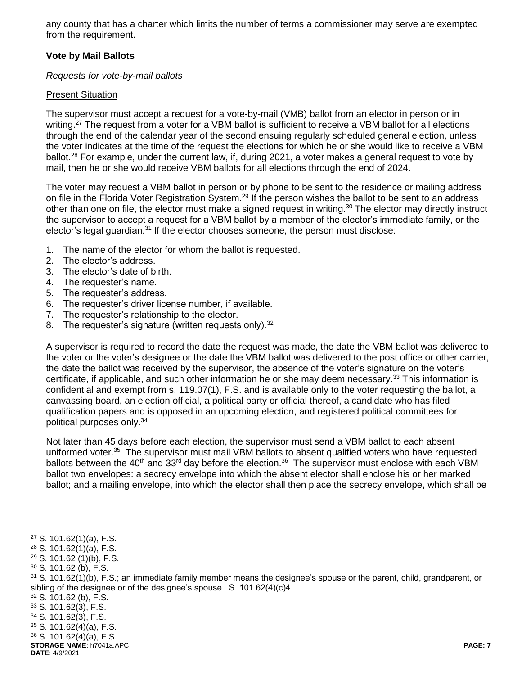any county that has a charter which limits the number of terms a commissioner may serve are exempted from the requirement.

# **Vote by Mail Ballots**

### *Requests for vote-by-mail ballots*

# Present Situation

The supervisor must accept a request for a vote-by-mail (VMB) ballot from an elector in person or in writing.<sup>27</sup> The request from a voter for a VBM ballot is sufficient to receive a VBM ballot for all elections through the end of the calendar year of the second ensuing regularly scheduled general election, unless the voter indicates at the time of the request the elections for which he or she would like to receive a VBM ballot.<sup>28</sup> For example, under the current law, if, during 2021, a voter makes a general request to vote by mail, then he or she would receive VBM ballots for all elections through the end of 2024.

The voter may request a VBM ballot in person or by phone to be sent to the residence or mailing address on file in the Florida Voter Registration System.<sup>29</sup> If the person wishes the ballot to be sent to an address other than one on file, the elector must make a signed request in writing.<sup>30</sup> The elector may directly instruct the supervisor to accept a request for a VBM ballot by a member of the elector's immediate family, or the elector's legal guardian.<sup>31</sup> If the elector chooses someone, the person must disclose:

- 1. The name of the elector for whom the ballot is requested.
- 2. The elector's address.
- 3. The elector's date of birth.
- 4. The requester's name.
- 5. The requester's address.
- 6. The requester's driver license number, if available.
- 7. The requester's relationship to the elector.
- 8. The requester's signature (written requests only).<sup>32</sup>

A supervisor is required to record the date the request was made, the date the VBM ballot was delivered to the voter or the voter's designee or the date the VBM ballot was delivered to the post office or other carrier, the date the ballot was received by the supervisor, the absence of the voter's signature on the voter's certificate, if applicable, and such other information he or she may deem necessary.<sup>33</sup> This information is confidential and exempt from s. 119.07(1), F.S. and is available only to the voter requesting the ballot, a canvassing board, an election official, a political party or official thereof, a candidate who has filed qualification papers and is opposed in an upcoming election, and registered political committees for political purposes only.<sup>34</sup>

Not later than 45 days before each election, the supervisor must send a VBM ballot to each absent uniformed voter.<sup>35</sup> The supervisor must mail VBM ballots to absent qualified voters who have requested ballots between the 40<sup>th</sup> and 33<sup>rd</sup> day before the election.<sup>36</sup> The supervisor must enclose with each VBM ballot two envelopes: a secrecy envelope into which the absent elector shall enclose his or her marked ballot; and a mailing envelope, into which the elector shall then place the secrecy envelope, which shall be

 $\overline{a}$ 

<sup>32</sup> S. 101.62 (b), F.S.

- <sup>34</sup> S. 101.62(3), F.S.
- $35$  S. 101.62(4)(a), F.S.

**STORAGE NAME**: h7041a.APC **PAGE: 7 DATE**: 4/9/2021

<sup>27</sup> S. 101.62(1)(a), F.S.

<sup>28</sup> S. 101.62(1)(a), F.S.

<sup>29</sup> S. 101.62 (1)(b), F.S.

<sup>30</sup> S. 101.62 (b), F.S.

 $31$  S. 101.62(1)(b), F.S.; an immediate family member means the designee's spouse or the parent, child, grandparent, or sibling of the designee or of the designee's spouse. S. 101.62(4)(c)4.

 $33$  S. 101.62(3), F.S.

<sup>36</sup> S. 101.62(4)(a), F.S.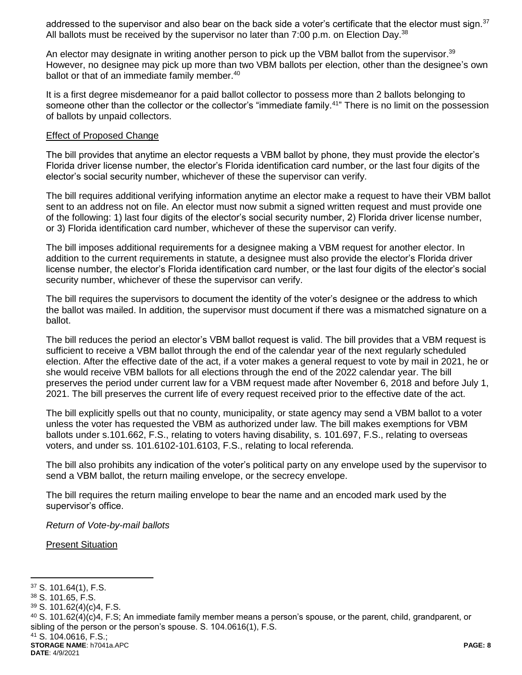addressed to the supervisor and also bear on the back side a voter's certificate that the elector must sign.<sup>37</sup> All ballots must be received by the supervisor no later than  $7:00$  p.m. on Election Day.<sup>38</sup>

An elector may designate in writing another person to pick up the VBM ballot from the supervisor.<sup>39</sup> However, no designee may pick up more than two VBM ballots per election, other than the designee's own ballot or that of an immediate family member.<sup>40</sup>

It is a first degree misdemeanor for a paid ballot collector to possess more than 2 ballots belonging to someone other than the collector or the collector's "immediate family.<sup>41</sup>" There is no limit on the possession of ballots by unpaid collectors.

#### Effect of Proposed Change

The bill provides that anytime an elector requests a VBM ballot by phone, they must provide the elector's Florida driver license number, the elector's Florida identification card number, or the last four digits of the elector's social security number, whichever of these the supervisor can verify.

The bill requires additional verifying information anytime an elector make a request to have their VBM ballot sent to an address not on file. An elector must now submit a signed written request and must provide one of the following: 1) last four digits of the elector's social security number, 2) Florida driver license number, or 3) Florida identification card number, whichever of these the supervisor can verify.

The bill imposes additional requirements for a designee making a VBM request for another elector. In addition to the current requirements in statute, a designee must also provide the elector's Florida driver license number, the elector's Florida identification card number, or the last four digits of the elector's social security number, whichever of these the supervisor can verify.

The bill requires the supervisors to document the identity of the voter's designee or the address to which the ballot was mailed. In addition, the supervisor must document if there was a mismatched signature on a ballot.

The bill reduces the period an elector's VBM ballot request is valid. The bill provides that a VBM request is sufficient to receive a VBM ballot through the end of the calendar year of the next regularly scheduled election. After the effective date of the act, if a voter makes a general request to vote by mail in 2021, he or she would receive VBM ballots for all elections through the end of the 2022 calendar year. The bill preserves the period under current law for a VBM request made after November 6, 2018 and before July 1, 2021. The bill preserves the current life of every request received prior to the effective date of the act.

The bill explicitly spells out that no county, municipality, or state agency may send a VBM ballot to a voter unless the voter has requested the VBM as authorized under law. The bill makes exemptions for VBM ballots under s.101.662, F.S., relating to voters having disability, s. 101.697, F.S., relating to overseas voters, and under ss. 101.6102-101.6103, F.S., relating to local referenda.

The bill also prohibits any indication of the voter's political party on any envelope used by the supervisor to send a VBM ballot, the return mailing envelope, or the secrecy envelope.

The bill requires the return mailing envelope to bear the name and an encoded mark used by the supervisor's office.

*Return of Vote-by-mail ballots*

Present Situation

<sup>37</sup> S. 101.64(1), F.S.

<sup>38</sup> S. 101.65, F.S.

<sup>39</sup> S. 101.62(4)(c)4, F.S.

<sup>40</sup> S. 101.62(4)(c)4, F.S; An immediate family member means a person's spouse, or the parent, child, grandparent, or sibling of the person or the person's spouse. S. 104.0616(1), F.S.

<sup>41</sup> S. 104.0616, F.S.;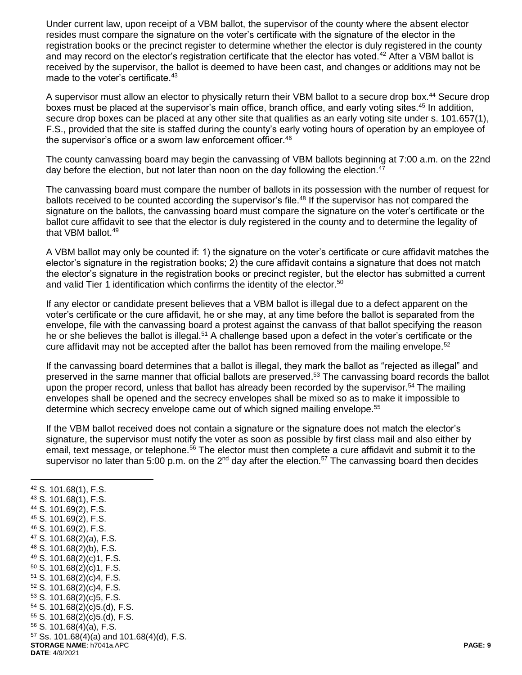Under current law, upon receipt of a VBM ballot, the supervisor of the county where the absent elector resides must compare the signature on the voter's certificate with the signature of the elector in the registration books or the precinct register to determine whether the elector is duly registered in the county and may record on the elector's registration certificate that the elector has voted.<sup>42</sup> After a VBM ballot is received by the supervisor, the ballot is deemed to have been cast, and changes or additions may not be made to the voter's certificate.<sup>43</sup>

A supervisor must allow an elector to physically return their VBM ballot to a secure drop box.<sup>44</sup> Secure drop boxes must be placed at the supervisor's main office, branch office, and early voting sites.<sup>45</sup> In addition, secure drop boxes can be placed at any other site that qualifies as an early voting site under s. 101.657(1), F.S., provided that the site is staffed during the county's early voting hours of operation by an employee of the supervisor's office or a sworn law enforcement officer.<sup>46</sup>

The county canvassing board may begin the canvassing of VBM ballots beginning at 7:00 a.m. on the 22nd day before the election, but not later than noon on the day following the election.<sup>47</sup>

The canvassing board must compare the number of ballots in its possession with the number of request for ballots received to be counted according the supervisor's file.<sup>48</sup> If the supervisor has not compared the signature on the ballots, the canvassing board must compare the signature on the voter's certificate or the ballot cure affidavit to see that the elector is duly registered in the county and to determine the legality of that VBM ballot.<sup>49</sup>

A VBM ballot may only be counted if: 1) the signature on the voter's certificate or cure affidavit matches the elector's signature in the registration books; 2) the cure affidavit contains a signature that does not match the elector's signature in the registration books or precinct register, but the elector has submitted a current and valid Tier 1 identification which confirms the identity of the elector.<sup>50</sup>

If any elector or candidate present believes that a VBM ballot is illegal due to a defect apparent on the voter's certificate or the cure affidavit, he or she may, at any time before the ballot is separated from the envelope, file with the canvassing board a protest against the canvass of that ballot specifying the reason he or she believes the ballot is illegal.<sup>51</sup> A challenge based upon a defect in the voter's certificate or the cure affidavit may not be accepted after the ballot has been removed from the mailing envelope.<sup>52</sup>

If the canvassing board determines that a ballot is illegal, they mark the ballot as "rejected as illegal" and preserved in the same manner that official ballots are preserved.<sup>53</sup> The canvassing board records the ballot upon the proper record, unless that ballot has already been recorded by the supervisor.<sup>54</sup> The mailing envelopes shall be opened and the secrecy envelopes shall be mixed so as to make it impossible to determine which secrecy envelope came out of which signed mailing envelope.<sup>55</sup>

If the VBM ballot received does not contain a signature or the signature does not match the elector's signature, the supervisor must notify the voter as soon as possible by first class mail and also either by email, text message, or telephone.<sup>56</sup> The elector must then complete a cure affidavit and submit it to the supervisor no later than 5:00 p.m. on the 2<sup>nd</sup> day after the election.<sup>57</sup> The canvassing board then decides

**STORAGE NAME**: h7041a.APC **PAGE: 9 DATE**: 4/9/2021 S. 101.68(1), F.S. S. 101.68(1), F.S. S. 101.69(2), F.S. S. 101.69(2), F.S. S. 101.69(2), F.S. S. 101.68(2)(a), F.S. S. 101.68(2)(b), F.S. S. 101.68(2)(c)1, F.S. S. 101.68(2)(c)1, F.S. S. 101.68(2)(c)4, F.S. S. 101.68(2)(c)4, F.S. S. 101.68(2)(c)5, F.S. S. 101.68(2)(c)5.(d), F.S. S. 101.68(2)(c)5.(d), F.S. S. 101.68(4)(a), F.S. Ss. 101.68(4)(a) and 101.68(4)(d), F.S.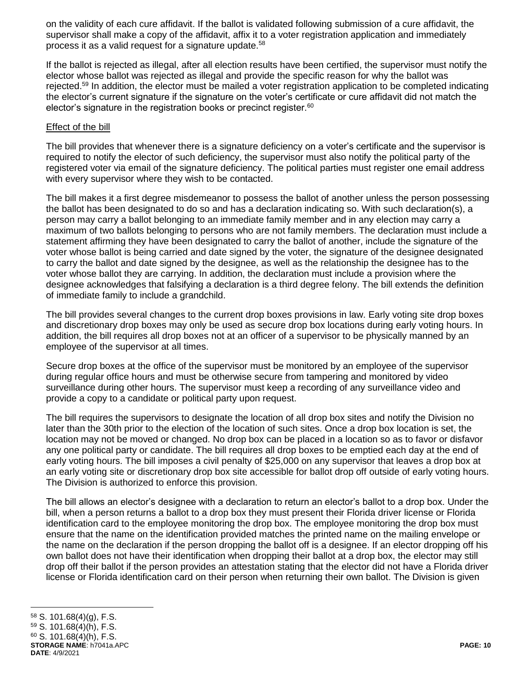on the validity of each cure affidavit. If the ballot is validated following submission of a cure affidavit, the supervisor shall make a copy of the affidavit, affix it to a voter registration application and immediately process it as a valid request for a signature update.<sup>58</sup>

If the ballot is rejected as illegal, after all election results have been certified, the supervisor must notify the elector whose ballot was rejected as illegal and provide the specific reason for why the ballot was rejected.<sup>59</sup> In addition, the elector must be mailed a voter registration application to be completed indicating the elector's current signature if the signature on the voter's certificate or cure affidavit did not match the elector's signature in the registration books or precinct register. $60$ 

### Effect of the bill

The bill provides that whenever there is a signature deficiency on a voter's certificate and the supervisor is required to notify the elector of such deficiency, the supervisor must also notify the political party of the registered voter via email of the signature deficiency. The political parties must register one email address with every supervisor where they wish to be contacted.

The bill makes it a first degree misdemeanor to possess the ballot of another unless the person possessing the ballot has been designated to do so and has a declaration indicating so. With such declaration(s), a person may carry a ballot belonging to an immediate family member and in any election may carry a maximum of two ballots belonging to persons who are not family members. The declaration must include a statement affirming they have been designated to carry the ballot of another, include the signature of the voter whose ballot is being carried and date signed by the voter, the signature of the designee designated to carry the ballot and date signed by the designee, as well as the relationship the designee has to the voter whose ballot they are carrying. In addition, the declaration must include a provision where the designee acknowledges that falsifying a declaration is a third degree felony. The bill extends the definition of immediate family to include a grandchild.

The bill provides several changes to the current drop boxes provisions in law. Early voting site drop boxes and discretionary drop boxes may only be used as secure drop box locations during early voting hours. In addition, the bill requires all drop boxes not at an officer of a supervisor to be physically manned by an employee of the supervisor at all times.

Secure drop boxes at the office of the supervisor must be monitored by an employee of the supervisor during regular office hours and must be otherwise secure from tampering and monitored by video surveillance during other hours. The supervisor must keep a recording of any surveillance video and provide a copy to a candidate or political party upon request.

The bill requires the supervisors to designate the location of all drop box sites and notify the Division no later than the 30th prior to the election of the location of such sites. Once a drop box location is set, the location may not be moved or changed. No drop box can be placed in a location so as to favor or disfavor any one political party or candidate. The bill requires all drop boxes to be emptied each day at the end of early voting hours. The bill imposes a civil penalty of \$25,000 on any supervisor that leaves a drop box at an early voting site or discretionary drop box site accessible for ballot drop off outside of early voting hours. The Division is authorized to enforce this provision.

The bill allows an elector's designee with a declaration to return an elector's ballot to a drop box. Under the bill, when a person returns a ballot to a drop box they must present their Florida driver license or Florida identification card to the employee monitoring the drop box. The employee monitoring the drop box must ensure that the name on the identification provided matches the printed name on the mailing envelope or the name on the declaration if the person dropping the ballot off is a designee. If an elector dropping off his own ballot does not have their identification when dropping their ballot at a drop box, the elector may still drop off their ballot if the person provides an attestation stating that the elector did not have a Florida driver license or Florida identification card on their person when returning their own ballot. The Division is given

**STORAGE NAME**: h7041a.APC **PAGE: 10 DATE**: 4/9/2021  $\overline{a}$ <sup>58</sup> S. 101.68(4)(g), F.S. <sup>59</sup> S. 101.68(4)(h), F.S.  $60$  S. 101.68(4)(h), F.S.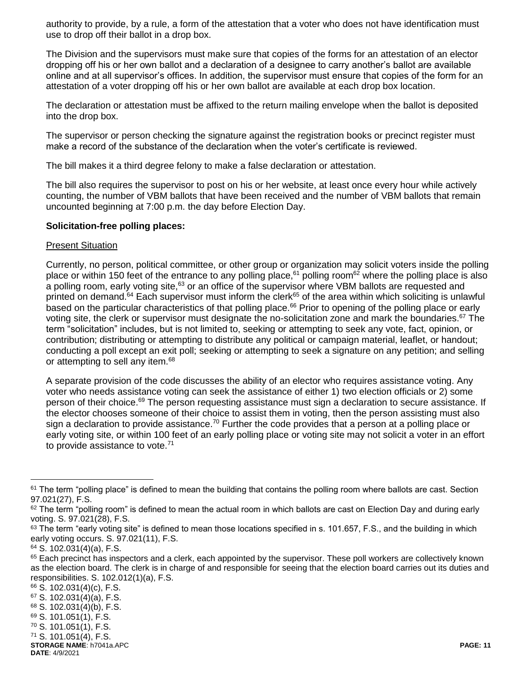authority to provide, by a rule, a form of the attestation that a voter who does not have identification must use to drop off their ballot in a drop box.

The Division and the supervisors must make sure that copies of the forms for an attestation of an elector dropping off his or her own ballot and a declaration of a designee to carry another's ballot are available online and at all supervisor's offices. In addition, the supervisor must ensure that copies of the form for an attestation of a voter dropping off his or her own ballot are available at each drop box location.

The declaration or attestation must be affixed to the return mailing envelope when the ballot is deposited into the drop box.

The supervisor or person checking the signature against the registration books or precinct register must make a record of the substance of the declaration when the voter's certificate is reviewed.

The bill makes it a third degree felony to make a false declaration or attestation.

The bill also requires the supervisor to post on his or her website, at least once every hour while actively counting, the number of VBM ballots that have been received and the number of VBM ballots that remain uncounted beginning at 7:00 p.m. the day before Election Day.

### **Solicitation-free polling places:**

#### Present Situation

Currently, no person, political committee, or other group or organization may solicit voters inside the polling place or within 150 feet of the entrance to any polling place,<sup>61</sup> polling room<sup>62</sup> where the polling place is also a polling room, early voting site,<sup>63</sup> or an office of the supervisor where VBM ballots are requested and printed on demand.<sup>64</sup> Each supervisor must inform the clerk<sup>65</sup> of the area within which soliciting is unlawful based on the particular characteristics of that polling place.<sup>66</sup> Prior to opening of the polling place or early voting site, the clerk or supervisor must designate the no-solicitation zone and mark the boundaries.<sup>67</sup> The term "solicitation" includes, but is not limited to, seeking or attempting to seek any vote, fact, opinion, or contribution; distributing or attempting to distribute any political or campaign material, leaflet, or handout; conducting a poll except an exit poll; seeking or attempting to seek a signature on any petition; and selling or attempting to sell any item.<sup>68</sup>

A separate provision of the code discusses the ability of an elector who requires assistance voting. Any voter who needs assistance voting can seek the assistance of either 1) two election officials or 2) some person of their choice.<sup>69</sup> The person requesting assistance must sign a declaration to secure assistance. If the elector chooses someone of their choice to assist them in voting, then the person assisting must also sign a declaration to provide assistance.<sup>70</sup> Further the code provides that a person at a polling place or early voting site, or within 100 feet of an early polling place or voting site may not solicit a voter in an effort to provide assistance to vote.<sup>71</sup>

 $61$  The term "polling place" is defined to mean the building that contains the polling room where ballots are cast. Section 97.021(27), F.S.

<sup>62</sup> The term "polling room" is defined to mean the actual room in which ballots are cast on Election Day and during early voting. S. 97.021(28), F.S.

 $63$  The term "early voting site" is defined to mean those locations specified in s. 101.657, F.S., and the building in which early voting occurs. S. 97.021(11), F.S.

 $64$  S. 102.031(4)(a), F.S.

<sup>&</sup>lt;sup>65</sup> Each precinct has inspectors and a clerk, each appointed by the supervisor. These poll workers are collectively known as the election board. The clerk is in charge of and responsible for seeing that the election board carries out its duties and responsibilities. S. 102.012(1)(a), F.S.

**STORAGE NAME**: h7041a.APC **PAGE: 11 DATE**: 4/9/2021 <sup>66</sup> S. 102.031(4)(c), F.S. <sup>67</sup> S. 102.031(4)(a), F.S. <sup>68</sup> S. 102.031(4)(b), F.S. <sup>69</sup> S. 101.051(1), F.S. <sup>70</sup> S. 101.051(1), F.S. <sup>71</sup> S. 101.051(4), F.S.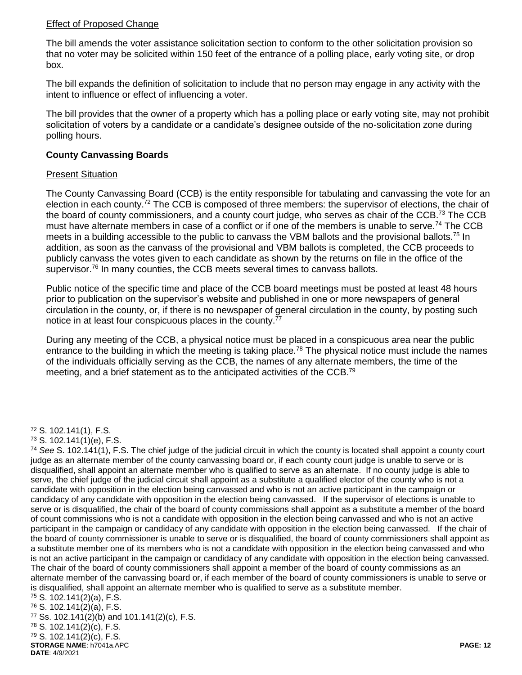# Effect of Proposed Change

The bill amends the voter assistance solicitation section to conform to the other solicitation provision so that no voter may be solicited within 150 feet of the entrance of a polling place, early voting site, or drop box.

The bill expands the definition of solicitation to include that no person may engage in any activity with the intent to influence or effect of influencing a voter.

The bill provides that the owner of a property which has a polling place or early voting site, may not prohibit solicitation of voters by a candidate or a candidate's designee outside of the no-solicitation zone during polling hours.

# **County Canvassing Boards**

### Present Situation

The County Canvassing Board (CCB) is the entity responsible for tabulating and canvassing the vote for an election in each county.<sup>72</sup> The CCB is composed of three members: the supervisor of elections, the chair of the board of county commissioners, and a county court judge, who serves as chair of the CCB.<sup>73</sup> The CCB must have alternate members in case of a conflict or if one of the members is unable to serve.<sup>74</sup> The CCB meets in a building accessible to the public to canvass the VBM ballots and the provisional ballots.<sup>75</sup> In addition, as soon as the canvass of the provisional and VBM ballots is completed, the CCB proceeds to publicly canvass the votes given to each candidate as shown by the returns on file in the office of the supervisor.<sup>76</sup> In many counties, the CCB meets several times to canvass ballots.

Public notice of the specific time and place of the CCB board meetings must be posted at least 48 hours prior to publication on the supervisor's website and published in one or more newspapers of general circulation in the county, or, if there is no newspaper of general circulation in the county, by posting such notice in at least four conspicuous places in the county.<sup>77</sup>

During any meeting of the CCB, a physical notice must be placed in a conspicuous area near the public entrance to the building in which the meeting is taking place.<sup>78</sup> The physical notice must include the names of the individuals officially serving as the CCB, the names of any alternate members, the time of the meeting, and a brief statement as to the anticipated activities of the CCB.<sup>79</sup>

 $\overline{a}$ 

**STORAGE NAME**: h7041a.APC **PAGE: 12 DATE**: 4/9/2021 <sup>77</sup> Ss. 102.141(2)(b) and 101.141(2)(c), F.S. <sup>78</sup> S. 102.141(2)(c), F.S. <sup>79</sup> S. 102.141(2)(c), F.S.

<sup>72</sup> S. 102.141(1), F.S.

 $73$  S. 102.141(1)(e), F.S.

<sup>74</sup> *See* S. 102.141(1), F.S. The chief judge of the judicial circuit in which the county is located shall appoint a county court judge as an alternate member of the county canvassing board or, if each county court judge is unable to serve or is disqualified, shall appoint an alternate member who is qualified to serve as an alternate. If no county judge is able to serve, the chief judge of the judicial circuit shall appoint as a substitute a qualified elector of the county who is not a candidate with opposition in the election being canvassed and who is not an active participant in the campaign or candidacy of any candidate with opposition in the election being canvassed. If the supervisor of elections is unable to serve or is disqualified, the chair of the board of county commissions shall appoint as a substitute a member of the board of count commissions who is not a candidate with opposition in the election being canvassed and who is not an active participant in the campaign or candidacy of any candidate with opposition in the election being canvassed. If the chair of the board of county commissioner is unable to serve or is disqualified, the board of county commissioners shall appoint as a substitute member one of its members who is not a candidate with opposition in the election being canvassed and who is not an active participant in the campaign or candidacy of any candidate with opposition in the election being canvassed. The chair of the board of county commissioners shall appoint a member of the board of county commissions as an alternate member of the canvassing board or, if each member of the board of county commissioners is unable to serve or is disqualified, shall appoint an alternate member who is qualified to serve as a substitute member.

<sup>75</sup> S. 102.141(2)(a), F.S. <sup>76</sup> S. 102.141(2)(a), F.S.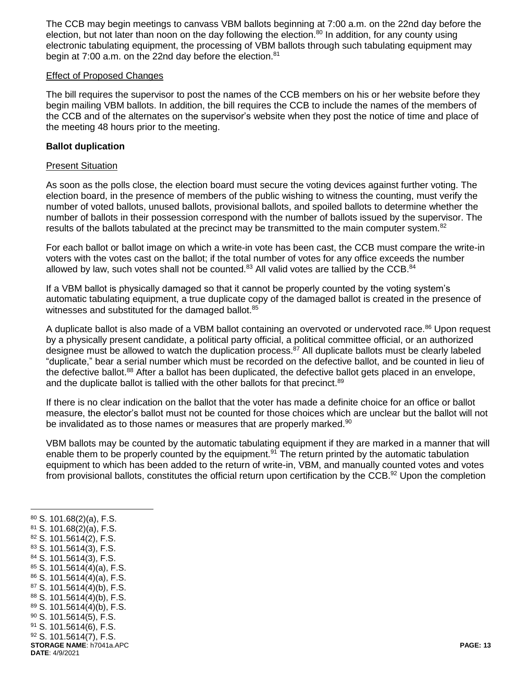The CCB may begin meetings to canvass VBM ballots beginning at 7:00 a.m. on the 22nd day before the election, but not later than noon on the day following the election.<sup>80</sup> In addition, for any county using electronic tabulating equipment, the processing of VBM ballots through such tabulating equipment may begin at 7:00 a.m. on the 22nd day before the election.<sup>81</sup>

#### Effect of Proposed Changes

The bill requires the supervisor to post the names of the CCB members on his or her website before they begin mailing VBM ballots. In addition, the bill requires the CCB to include the names of the members of the CCB and of the alternates on the supervisor's website when they post the notice of time and place of the meeting 48 hours prior to the meeting.

#### **Ballot duplication**

#### Present Situation

As soon as the polls close, the election board must secure the voting devices against further voting. The election board, in the presence of members of the public wishing to witness the counting, must verify the number of voted ballots, unused ballots, provisional ballots, and spoiled ballots to determine whether the number of ballots in their possession correspond with the number of ballots issued by the supervisor. The results of the ballots tabulated at the precinct may be transmitted to the main computer system.<sup>82</sup>

For each ballot or ballot image on which a write-in vote has been cast, the CCB must compare the write-in voters with the votes cast on the ballot; if the total number of votes for any office exceeds the number allowed by law, such votes shall not be counted.<sup>83</sup> All valid votes are tallied by the CCB.<sup>84</sup>

If a VBM ballot is physically damaged so that it cannot be properly counted by the voting system's automatic tabulating equipment, a true duplicate copy of the damaged ballot is created in the presence of witnesses and substituted for the damaged ballot. $85$ 

A duplicate ballot is also made of a VBM ballot containing an overvoted or undervoted race.<sup>86</sup> Upon request by a physically present candidate, a political party official, a political committee official, or an authorized designee must be allowed to watch the duplication process.<sup>87</sup> All duplicate ballots must be clearly labeled "duplicate," bear a serial number which must be recorded on the defective ballot, and be counted in lieu of the defective ballot.<sup>88</sup> After a ballot has been duplicated, the defective ballot gets placed in an envelope, and the duplicate ballot is tallied with the other ballots for that precinct.<sup>89</sup>

If there is no clear indication on the ballot that the voter has made a definite choice for an office or ballot measure, the elector's ballot must not be counted for those choices which are unclear but the ballot will not be invalidated as to those names or measures that are properly marked. $90$ 

VBM ballots may be counted by the automatic tabulating equipment if they are marked in a manner that will enable them to be properly counted by the equipment.<sup>91</sup> The return printed by the automatic tabulation equipment to which has been added to the return of write-in, VBM, and manually counted votes and votes from provisional ballots, constitutes the official return upon certification by the CCB.<sup>92</sup> Upon the completion

 S. 101.68(2)(a), F.S. S. 101.68(2)(a), F.S. S. 101.5614(2), F.S. S. 101.5614(3), F.S. S. 101.5614(3), F.S. S. 101.5614(4)(a), F.S. S. 101.5614(4)(a), F.S. S. 101.5614(4)(b), F.S. S. 101.5614(4)(b), F.S. S. 101.5614(4)(b), F.S. S. 101.5614(5), F.S.

 $\overline{a}$ 

- $91$  S. 101.5614(6), F.S.
- **STORAGE NAME**: h7041a.APC **PAGE: 13** <sup>92</sup> S. 101.5614(7), F.S.

**DATE**: 4/9/2021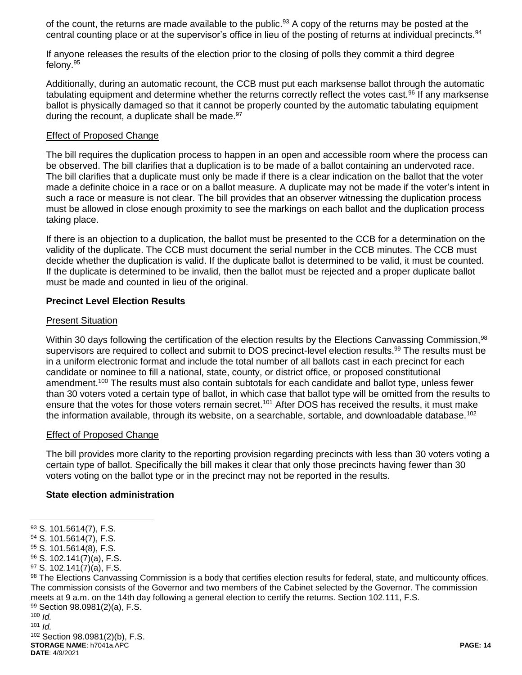of the count, the returns are made available to the public.<sup>93</sup> A copy of the returns may be posted at the central counting place or at the supervisor's office in lieu of the posting of returns at individual precincts.<sup>94</sup>

If anyone releases the results of the election prior to the closing of polls they commit a third degree felony.<sup>95</sup>

Additionally, during an automatic recount, the CCB must put each marksense ballot through the automatic tabulating equipment and determine whether the returns correctly reflect the votes cast.<sup>96</sup> If any marksense ballot is physically damaged so that it cannot be properly counted by the automatic tabulating equipment during the recount, a duplicate shall be made. $97$ 

### Effect of Proposed Change

The bill requires the duplication process to happen in an open and accessible room where the process can be observed. The bill clarifies that a duplication is to be made of a ballot containing an undervoted race. The bill clarifies that a duplicate must only be made if there is a clear indication on the ballot that the voter made a definite choice in a race or on a ballot measure. A duplicate may not be made if the voter's intent in such a race or measure is not clear. The bill provides that an observer witnessing the duplication process must be allowed in close enough proximity to see the markings on each ballot and the duplication process taking place.

If there is an objection to a duplication, the ballot must be presented to the CCB for a determination on the validity of the duplicate. The CCB must document the serial number in the CCB minutes. The CCB must decide whether the duplication is valid. If the duplicate ballot is determined to be valid, it must be counted. If the duplicate is determined to be invalid, then the ballot must be rejected and a proper duplicate ballot must be made and counted in lieu of the original.

# **Precinct Level Election Results**

### Present Situation

Within 30 days following the certification of the election results by the Elections Canvassing Commission,<sup>98</sup> supervisors are required to collect and submit to DOS precinct-level election results.<sup>99</sup> The results must be in a uniform electronic format and include the total number of all ballots cast in each precinct for each candidate or nominee to fill a national, state, county, or district office, or proposed constitutional amendment.<sup>100</sup> The results must also contain subtotals for each candidate and ballot type, unless fewer than 30 voters voted a certain type of ballot, in which case that ballot type will be omitted from the results to ensure that the votes for those voters remain secret.<sup>101</sup> After DOS has received the results, it must make the information available, through its website, on a searchable, sortable, and downloadable database.<sup>102</sup>

# Effect of Proposed Change

The bill provides more clarity to the reporting provision regarding precincts with less than 30 voters voting a certain type of ballot. Specifically the bill makes it clear that only those precincts having fewer than 30 voters voting on the ballot type or in the precinct may not be reported in the results.

# **State election administration**

98 The Elections Canvassing Commission is a body that certifies election results for federal, state, and multicounty offices. The commission consists of the Governor and two members of the Cabinet selected by the Governor. The commission meets at 9 a.m. on the 14th day following a general election to certify the returns. Section 102.111, F.S. <sup>99</sup> Section 98.0981(2)(a), F.S.  $100$  *Id.* 

101  $Id$ .

 $\overline{a}$ 

**STORAGE NAME**: h7041a.APC **PAGE: 14 DATE**: 4/9/2021 <sup>102</sup> Section 98.0981(2)(b), F.S.

<sup>93</sup> S. 101.5614(7), F.S.

<sup>94</sup> S. 101.5614(7), F.S.

<sup>95</sup> S. 101.5614(8), F.S.

<sup>96</sup> S. 102.141(7)(a), F.S.

 $97$  S. 102.141(7)(a), F.S.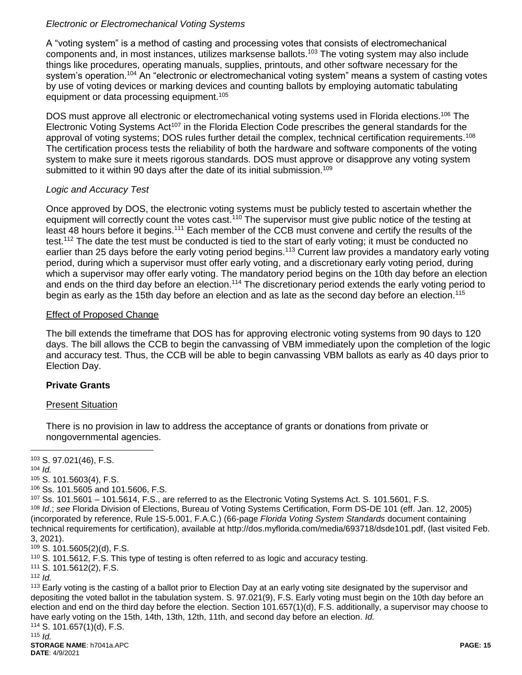# *Electronic or Electromechanical Voting Systems*

A "voting system" is a method of casting and processing votes that consists of electromechanical components and, in most instances, utilizes marksense ballots.<sup>103</sup> The voting system may also include things like procedures, operating manuals, supplies, printouts, and other software necessary for the system's operation.<sup>104</sup> An "electronic or electromechanical voting system" means a system of casting votes by use of voting devices or marking devices and counting ballots by employing automatic tabulating equipment or data processing equipment.<sup>105</sup>

DOS must approve all electronic or electromechanical voting systems used in Florida elections.<sup>106</sup> The Electronic Voting Systems Act<sup>107</sup> in the Florida Election Code prescribes the general standards for the approval of voting systems; DOS rules further detail the complex, technical certification requirements.<sup>108</sup> The certification process tests the reliability of both the hardware and software components of the voting system to make sure it meets rigorous standards. DOS must approve or disapprove any voting system submitted to it within 90 days after the date of its initial submission.<sup>109</sup>

# *Logic and Accuracy Test*

Once approved by DOS, the electronic voting systems must be publicly tested to ascertain whether the equipment will correctly count the votes cast.<sup>110</sup> The supervisor must give public notice of the testing at least 48 hours before it begins.<sup>111</sup> Each member of the CCB must convene and certify the results of the test.<sup>112</sup> The date the test must be conducted is tied to the start of early voting; it must be conducted no earlier than 25 days before the early voting period begins.<sup>113</sup> Current law provides a mandatory early voting period, during which a supervisor must offer early voting, and a discretionary early voting period, during which a supervisor may offer early voting. The mandatory period begins on the 10th day before an election and ends on the third day before an election.<sup>114</sup> The discretionary period extends the early voting period to begin as early as the 15th day before an election and as late as the second day before an election.<sup>115</sup>

### Effect of Proposed Change

The bill extends the timeframe that DOS has for approving electronic voting systems from 90 days to 120 days. The bill allows the CCB to begin the canvassing of VBM immediately upon the completion of the logic and accuracy test. Thus, the CCB will be able to begin canvassing VBM ballots as early as 40 days prior to Election Day.

# **Private Grants**

# Present Situation

There is no provision in law to address the acceptance of grants or donations from private or nongovernmental agencies.

 $\overline{a}$ 

<sup>105</sup> S. 101.5603(4), F.S.

<sup>106</sup> Ss. 101.5605 and 101.5606, F.S.

<sup>111</sup> S. 101.5612(2), F.S.

<sup>112</sup> *Id.* 

<sup>113</sup> Early voting is the casting of a ballot prior to Election Day at an early voting site designated by the supervisor and depositing the voted ballot in the tabulation system. S. 97.021(9), F.S. Early voting must begin on the 10th day before an election and end on the third day before the election. Section 101.657(1)(d), F.S. additionally, a supervisor may choose to have early voting on the 15th, 14th, 13th, 12th, 11th, and second day before an election. *Id.* 

<sup>114</sup> S. 101.657(1)(d), F.S.  $115$  *Id.* 

<sup>103</sup> S. 97.021(46), F.S.

<sup>104</sup> *Id.*

 $107$  Ss, 101.5601 – 101.5614, F.S., are referred to as the Electronic Voting Systems Act. S, 101.5601, F.S. <sup>108</sup> *Id*.; *see* Florida Division of Elections, Bureau of Voting Systems Certification, Form DS-DE 101 (eff. Jan. 12, 2005) (incorporated by reference, Rule 1S-5.001, F.A.C.) (66-page *Florida Voting System Standards* document containing technical requirements for certification), available at http://dos.myflorida.com/media/693718/dsde101.pdf, (last visited Feb. 3, 2021).

<sup>109</sup> S. 101.5605(2)(d), F.S.

<sup>110</sup> S. 101.5612, F.S. This type of testing is often referred to as logic and accuracy testing.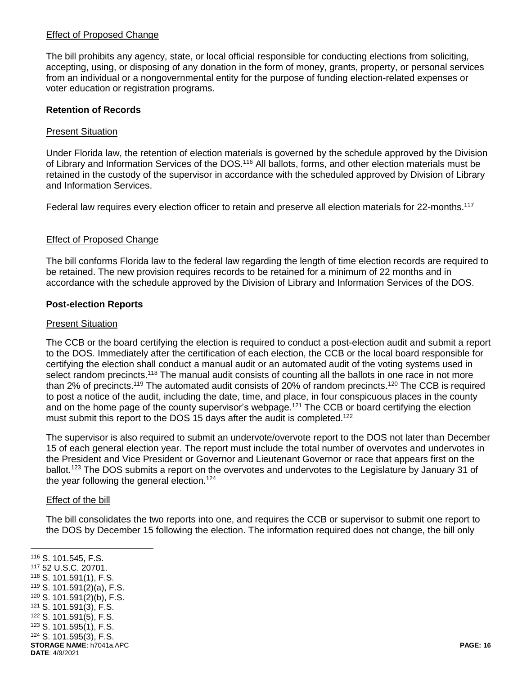### Effect of Proposed Change

The bill prohibits any agency, state, or local official responsible for conducting elections from soliciting, accepting, using, or disposing of any donation in the form of money, grants, property, or personal services from an individual or a nongovernmental entity for the purpose of funding election-related expenses or voter education or registration programs.

### **Retention of Records**

#### Present Situation

Under Florida law, the retention of election materials is governed by the schedule approved by the Division of Library and Information Services of the DOS.<sup>116</sup> All ballots, forms, and other election materials must be retained in the custody of the supervisor in accordance with the scheduled approved by Division of Library and Information Services.

Federal law requires every election officer to retain and preserve all election materials for 22-months.<sup>117</sup>

### Effect of Proposed Change

The bill conforms Florida law to the federal law regarding the length of time election records are required to be retained. The new provision requires records to be retained for a minimum of 22 months and in accordance with the schedule approved by the Division of Library and Information Services of the DOS.

### **Post-election Reports**

#### **Present Situation**

The CCB or the board certifying the election is required to conduct a post-election audit and submit a report to the DOS. Immediately after the certification of each election, the CCB or the local board responsible for certifying the election shall conduct a manual audit or an automated audit of the voting systems used in select random precincts.<sup>118</sup> The manual audit consists of counting all the ballots in one race in not more than 2% of precincts.<sup>119</sup> The automated audit consists of 20% of random precincts.<sup>120</sup> The CCB is required to post a notice of the audit, including the date, time, and place, in four conspicuous places in the county and on the home page of the county supervisor's webpage.<sup>121</sup> The CCB or board certifying the election must submit this report to the DOS 15 days after the audit is completed.<sup>122</sup>

The supervisor is also required to submit an undervote/overvote report to the DOS not later than December 15 of each general election year. The report must include the total number of overvotes and undervotes in the President and Vice President or Governor and Lieutenant Governor or race that appears first on the ballot.<sup>123</sup> The DOS submits a report on the overvotes and undervotes to the Legislature by January 31 of the year following the general election.<sup>124</sup>

#### Effect of the bill

The bill consolidates the two reports into one, and requires the CCB or supervisor to submit one report to the DOS by December 15 following the election. The information required does not change, the bill only

**STORAGE NAME**: h7041a.APC **PAGE: 16 DATE**: 4/9/2021  $\overline{a}$  S. 101.545, F.S. 52 U.S.C. 20701. S. 101.591(1), F.S. S. 101.591(2)(a), F.S. S. 101.591(2)(b), F.S. S. 101.591(3), F.S. S. 101.591(5), F.S. S. 101.595(1), F.S. S. 101.595(3), F.S.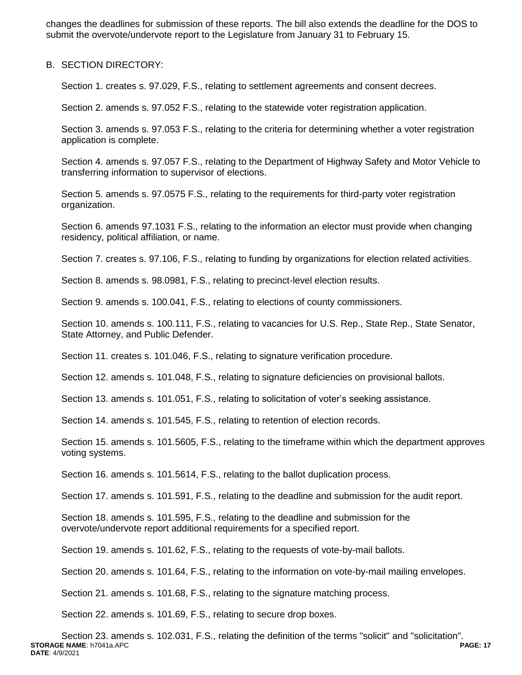changes the deadlines for submission of these reports. The bill also extends the deadline for the DOS to submit the overvote/undervote report to the Legislature from January 31 to February 15.

#### B. SECTION DIRECTORY:

Section 1. creates s. 97.029, F.S., relating to settlement agreements and consent decrees.

Section 2. amends s. 97.052 F.S., relating to the statewide voter registration application.

Section 3. amends s. 97.053 F.S., relating to the criteria for determining whether a voter registration application is complete.

Section 4. amends s. 97.057 F.S., relating to the Department of Highway Safety and Motor Vehicle to transferring information to supervisor of elections.

Section 5. amends s. 97.0575 F.S., relating to the requirements for third-party voter registration organization.

Section 6. amends 97.1031 F.S., relating to the information an elector must provide when changing residency, political affiliation, or name.

Section 7. creates s. 97.106, F.S., relating to funding by organizations for election related activities.

Section 8. amends s. 98.0981, F.S., relating to precinct-level election results.

Section 9. amends s. 100.041, F.S., relating to elections of county commissioners.

Section 10. amends s. 100.111, F.S., relating to vacancies for U.S. Rep., State Rep., State Senator, State Attorney, and Public Defender.

Section 11. creates s. 101.046, F.S., relating to signature verification procedure.

Section 12. amends s. 101.048, F.S., relating to signature deficiencies on provisional ballots.

Section 13. amends s. 101.051, F.S., relating to solicitation of voter's seeking assistance.

Section 14. amends s. 101.545, F.S., relating to retention of election records.

Section 15. amends s. 101.5605, F.S., relating to the timeframe within which the department approves voting systems.

Section 16. amends s. 101.5614, F.S., relating to the ballot duplication process.

Section 17. amends s. 101.591, F.S., relating to the deadline and submission for the audit report.

Section 18. amends s. 101.595, F.S., relating to the deadline and submission for the overvote/undervote report additional requirements for a specified report.

Section 19. amends s. 101.62, F.S., relating to the requests of vote-by-mail ballots.

Section 20. amends s. 101.64, F.S., relating to the information on vote-by-mail mailing envelopes.

Section 21. amends s. 101.68, F.S., relating to the signature matching process.

Section 22. amends s. 101.69, F.S., relating to secure drop boxes.

**STORAGE NAME**: h7041a.APC **PAGE: 17 DATE**: 4/9/2021 Section 23. amends s. 102.031, F.S., relating the definition of the terms "solicit" and "solicitation".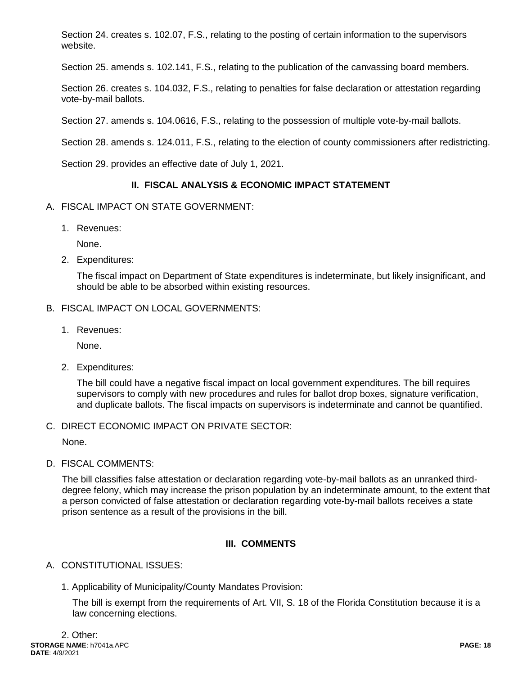Section 24. creates s. 102.07, F.S., relating to the posting of certain information to the supervisors website.

Section 25. amends s. 102.141, F.S., relating to the publication of the canvassing board members.

Section 26. creates s. 104.032, F.S., relating to penalties for false declaration or attestation regarding vote-by-mail ballots.

Section 27. amends s. 104.0616, F.S., relating to the possession of multiple vote-by-mail ballots.

Section 28. amends s. 124.011, F.S., relating to the election of county commissioners after redistricting.

Section 29. provides an effective date of July 1, 2021.

# **II. FISCAL ANALYSIS & ECONOMIC IMPACT STATEMENT**

### A. FISCAL IMPACT ON STATE GOVERNMENT:

1. Revenues:

None.

2. Expenditures:

The fiscal impact on Department of State expenditures is indeterminate, but likely insignificant, and should be able to be absorbed within existing resources.

### B. FISCAL IMPACT ON LOCAL GOVERNMENTS:

1. Revenues:

None.

2. Expenditures:

The bill could have a negative fiscal impact on local government expenditures. The bill requires supervisors to comply with new procedures and rules for ballot drop boxes, signature verification, and duplicate ballots. The fiscal impacts on supervisors is indeterminate and cannot be quantified.

# C. DIRECT ECONOMIC IMPACT ON PRIVATE SECTOR:

None.

D. FISCAL COMMENTS:

The bill classifies false attestation or declaration regarding vote-by-mail ballots as an unranked thirddegree felony, which may increase the prison population by an indeterminate amount, to the extent that a person convicted of false attestation or declaration regarding vote-by-mail ballots receives a state prison sentence as a result of the provisions in the bill.

# **III. COMMENTS**

# A. CONSTITUTIONAL ISSUES:

1. Applicability of Municipality/County Mandates Provision:

The bill is exempt from the requirements of Art. VII, S. 18 of the Florida Constitution because it is a law concerning elections.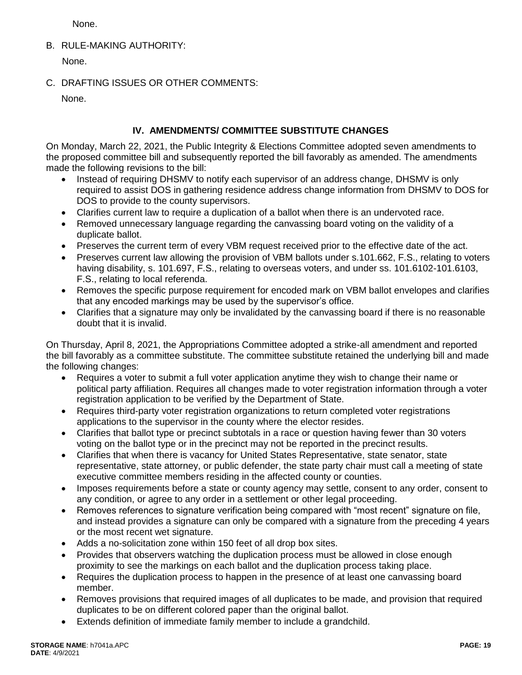None.

B. RULE-MAKING AUTHORITY:

None.

C. DRAFTING ISSUES OR OTHER COMMENTS:

None.

# **IV. AMENDMENTS/ COMMITTEE SUBSTITUTE CHANGES**

On Monday, March 22, 2021, the Public Integrity & Elections Committee adopted seven amendments to the proposed committee bill and subsequently reported the bill favorably as amended. The amendments made the following revisions to the bill:

- Instead of requiring DHSMV to notify each supervisor of an address change, DHSMV is only required to assist DOS in gathering residence address change information from DHSMV to DOS for DOS to provide to the county supervisors.
- Clarifies current law to require a duplication of a ballot when there is an undervoted race.
- Removed unnecessary language regarding the canvassing board voting on the validity of a duplicate ballot.
- Preserves the current term of every VBM request received prior to the effective date of the act.
- Preserves current law allowing the provision of VBM ballots under s.101.662, F.S., relating to voters having disability, s. 101.697, F.S., relating to overseas voters, and under ss. 101.6102-101.6103, F.S., relating to local referenda.
- Removes the specific purpose requirement for encoded mark on VBM ballot envelopes and clarifies that any encoded markings may be used by the supervisor's office.
- Clarifies that a signature may only be invalidated by the canvassing board if there is no reasonable doubt that it is invalid.

On Thursday, April 8, 2021, the Appropriations Committee adopted a strike-all amendment and reported the bill favorably as a committee substitute. The committee substitute retained the underlying bill and made the following changes:

- Requires a voter to submit a full voter application anytime they wish to change their name or political party affiliation. Requires all changes made to voter registration information through a voter registration application to be verified by the Department of State.
- Requires third-party voter registration organizations to return completed voter registrations applications to the supervisor in the county where the elector resides.
- Clarifies that ballot type or precinct subtotals in a race or question having fewer than 30 voters voting on the ballot type or in the precinct may not be reported in the precinct results.
- Clarifies that when there is vacancy for United States Representative, state senator, state representative, state attorney, or public defender, the state party chair must call a meeting of state executive committee members residing in the affected county or counties.
- Imposes requirements before a state or county agency may settle, consent to any order, consent to any condition, or agree to any order in a settlement or other legal proceeding.
- Removes references to signature verification being compared with "most recent" signature on file, and instead provides a signature can only be compared with a signature from the preceding 4 years or the most recent wet signature.
- Adds a no-solicitation zone within 150 feet of all drop box sites.
- Provides that observers watching the duplication process must be allowed in close enough proximity to see the markings on each ballot and the duplication process taking place.
- Requires the duplication process to happen in the presence of at least one canvassing board member.
- Removes provisions that required images of all duplicates to be made, and provision that required duplicates to be on different colored paper than the original ballot.
- Extends definition of immediate family member to include a grandchild.